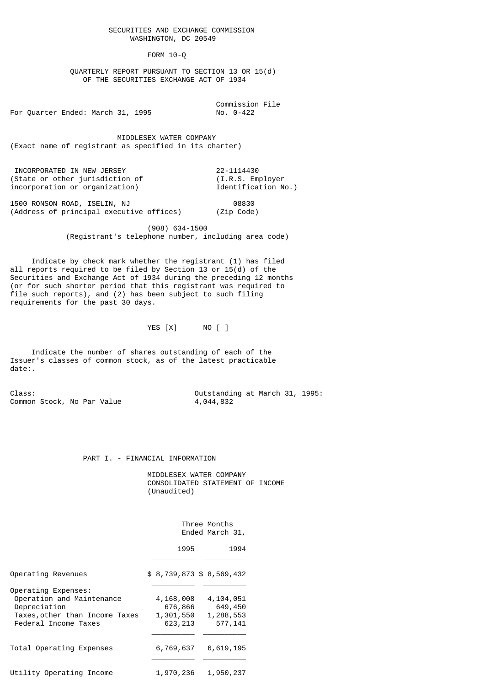SECURITIES AND EXCHANGE COMMISSION WASHINGTON, DC 20549

FORM 10-Q

 QUARTERLY REPORT PURSUANT TO SECTION 13 OR 15(d) OF THE SECURITIES EXCHANGE ACT OF 1934

Commission File<br>No. 0-422 For Quarter Ended: March 31, 1995

 MIDDLESEX WATER COMPANY (Exact name of registrant as specified in its charter)

 INCORPORATED IN NEW JERSEY 22-1114430 (State or other jurisdiction of (I.R.S. Employer incorporation or organization) Identification No.)

1500 RONSON ROAD, ISELIN, NJ 08830 (Address of principal executive offices)

> (908) 634-1500 (Registrant's telephone number, including area code)

 Indicate by check mark whether the registrant (1) has filed all reports required to be filed by Section 13 or 15(d) of the Securities and Exchange Act of 1934 during the preceding 12 months (or for such shorter period that this registrant was required to file such reports), and (2) has been subject to such filing requirements for the past 30 days.

YES [X] NO [ ]

 Indicate the number of shares outstanding of each of the Issuer's classes of common stock, as of the latest practicable date:.

Common Stock, No Par Value

Class:  $\begin{array}{ccc}\n\text{Class:} & \text{Our solution} \\
\text{Common Stock, No Par Value} & \text{A, 044, 832}\n\end{array}$ 

## PART I. - FINANCIAL INFORMATION

 MIDDLESEX WATER COMPANY CONSOLIDATED STATEMENT OF INCOME (Unaudited)

> Three Months Ended March 31,

|                                                                                                                            | 1995                                          | 1994                                         |
|----------------------------------------------------------------------------------------------------------------------------|-----------------------------------------------|----------------------------------------------|
| Operating Revenues                                                                                                         | \$ 8,739,873 \$ 8,569,432                     |                                              |
| Operating Expenses:<br>Operation and Maintenance<br>Depreciation<br>Taxes, other than Income Taxes<br>Federal Income Taxes | 4,168,008<br>676,866<br>1,301,550<br>623, 213 | 4,104,051<br>649,450<br>1,288,553<br>577,141 |
| Total Operating Expenses                                                                                                   | 6,769,637                                     | 6,619,195                                    |
| Utility Operating Income                                                                                                   | 1,970,236                                     | 1,950,237                                    |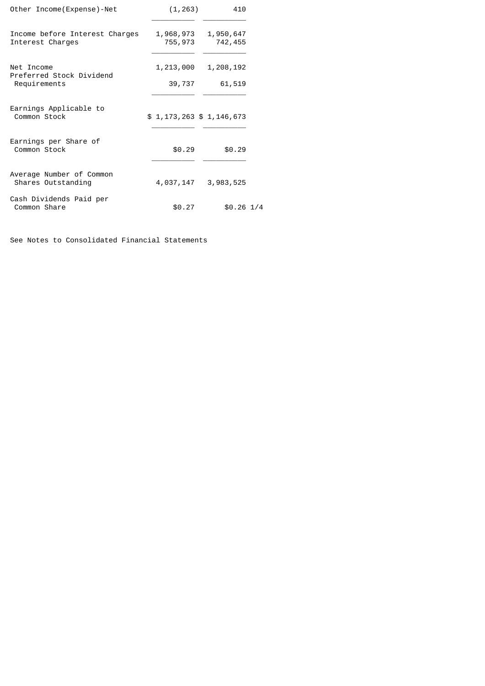| Other Income (Expense) - Net                           | (1, 263)                    | 410                  |  |
|--------------------------------------------------------|-----------------------------|----------------------|--|
| Income before Interest Charges<br>Interest Charges     | 1,968,973<br>755,973        | 1,950,647<br>742,455 |  |
| Net Income<br>Preferred Stock Dividend<br>Requirements | 1,213,000<br>39,737         | 1,208,192<br>61,519  |  |
| Earnings Applicable to<br>Common Stock                 | \$1, 173, 263 \$1, 146, 673 |                      |  |
| Earnings per Share of<br>Common Stock                  | \$0.29                      | \$0.29               |  |
| Average Number of Common<br>Shares Outstanding         | 4,037,147                   | 3,983,525            |  |
| Cash Dividends Paid per<br>Common Share                | \$0.27                      | $$0.26$ $1/4$        |  |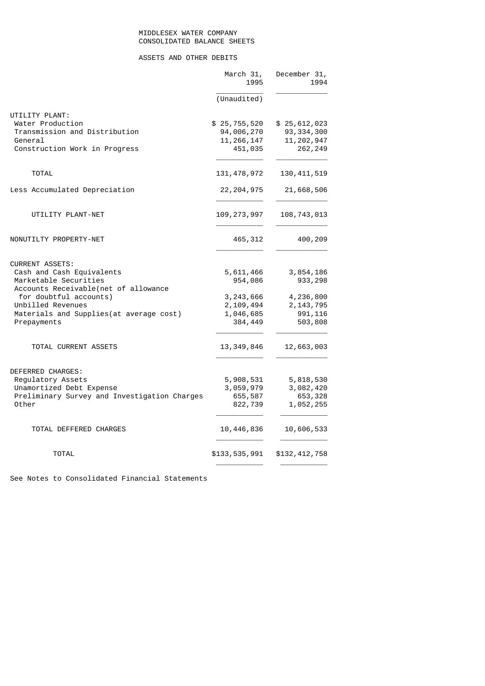## MIDDLESEX WATER COMPANY CONSOLIDATED BALANCE SHEETS

# ASSETS AND OTHER DEBITS

|                                              | March 31,<br>1995 | December 31,<br>1994 |
|----------------------------------------------|-------------------|----------------------|
|                                              | (Unaudited)       |                      |
| UTILITY PLANT:                               |                   |                      |
| Water Production                             | \$25,755,520      | \$25,612,023         |
| Transmission and Distribution                | 94,006,270        | 93, 334, 300         |
| General                                      | 11, 266, 147      | 11, 202, 947         |
| Construction Work in Progress                | 451,035           | 262, 249             |
| <b>TOTAL</b>                                 | 131, 478, 972     | 130, 411, 519        |
| Less Accumulated Depreciation                | 22, 204, 975      | 21,668,506           |
| UTILITY PLANT-NET                            | 109,273,997       | 108,743,013          |
| NONUTILTY PROPERTY-NET                       | 465, 312          | 400,209              |
| <b>CURRENT ASSETS:</b>                       |                   |                      |
| Cash and Cash Equivalents                    | 5,611,466         | 3,854,186            |
| Marketable Securities                        | 954,086           | 933,298              |
| Accounts Receivable(net of allowance         |                   |                      |
| for doubtful accounts)                       | 3,243,666         | 4,236,800            |
| Unbilled Revenues                            | 2, 109, 494       | 2, 143, 795          |
| Materials and Supplies(at average cost)      | 1,046,685         | 991, 116             |
| Prepayments                                  | 384,449           | 503,808              |
| TOTAL CURRENT ASSETS                         | 13,349,846        | 12,663,003           |
| DEFERRED CHARGES:                            |                   |                      |
| Regulatory Assets                            | 5,908,531         | 5,818,530            |
| Unamortized Debt Expense                     | 3,059,979         | 3,082,420            |
| Preliminary Survey and Investigation Charges | 655,587           | 653,328              |
| Other                                        | 822,739           | 1,052,255            |
| TOTAL DEFFERED CHARGES                       | 10,446,836        | 10,606,533           |
| TOTAL                                        | \$133,535,991     | \$132,412,758        |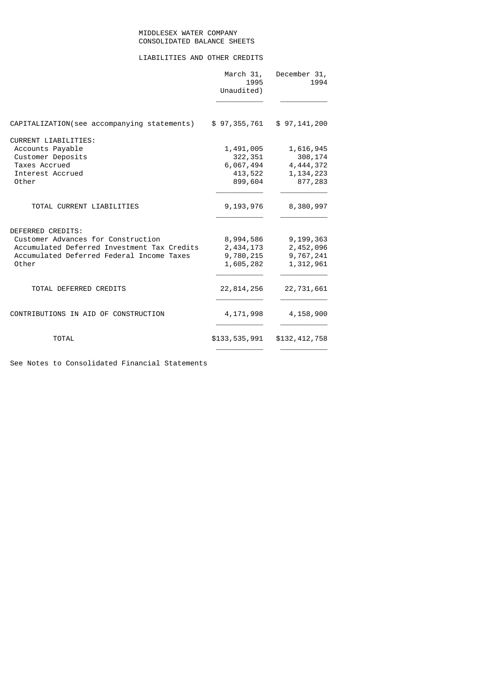# MIDDLESEX WATER COMPANY CONSOLIDATED BALANCE SHEETS

# LIABILITIES AND OTHER CREDITS

|                                             | March 31,<br>1995<br>Unaudited) | December 31,<br>1994 |
|---------------------------------------------|---------------------------------|----------------------|
| CAPITALIZATION(see accompanying statements) | \$97,355,761                    | \$97, 141, 200       |
| <b>CURRENT LIABILITIES:</b>                 |                                 |                      |
| Accounts Payable                            | 1,491,005                       | 1,616,945            |
| Customer Deposits                           | 322,351                         | 308,174              |
| Taxes Accrued                               | 6,067,494                       | 4,444,372            |
| Interest Accrued                            | 413,522                         | 1, 134, 223          |
| Other                                       | 899,604                         | 877,283              |
| TOTAL CURRENT LIABILITIES                   | 9,193,976                       | 8,380,997            |
| DEFERRED CREDITS:                           |                                 |                      |
| Customer Advances for Construction          | 8,994,586                       | 9,199,363            |
| Accumulated Deferred Investment Tax Credits | 2,434,173                       | 2,452,096            |
| Accumulated Deferred Federal Income Taxes   | 9,780,215                       | 9,767,241            |
| Other                                       | 1,605,282                       | 1,312,961            |
| TOTAL DEFERRED CREDITS                      | 22, 814, 256                    | 22,731,661           |
| CONTRIBUTIONS IN AID OF CONSTRUCTION        | 4, 171, 998                     | 4,158,900            |
| <b>TOTAL</b>                                | \$133,535,991                   | \$132,412,758        |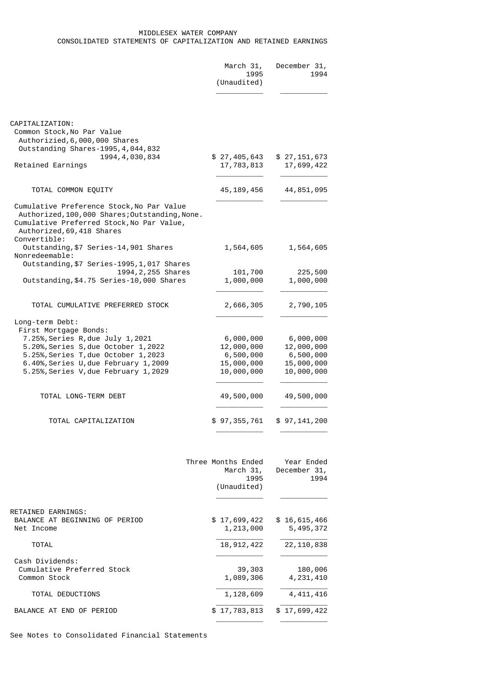## MIDDLESEX WATER COMPANY CONSOLIDATED STATEMENTS OF CAPITALIZATION AND RETAINED EARNINGS

|                                                                                                                                                                                                                                                 | March 31,<br>1995<br>(Unaudited)                                 | December 31,<br>1994                                             |
|-------------------------------------------------------------------------------------------------------------------------------------------------------------------------------------------------------------------------------------------------|------------------------------------------------------------------|------------------------------------------------------------------|
| CAPITALIZATION:<br>Common Stock, No Par Value<br>Authorizied, 6,000,000 Shares<br>Outstanding Shares-1995, 4, 044, 832                                                                                                                          |                                                                  |                                                                  |
| 1994, 4, 030, 834<br>Retained Earnings                                                                                                                                                                                                          | \$27,405,643<br>17,783,813                                       | \$27,151,673<br>17,699,422                                       |
| TOTAL COMMON EQUITY                                                                                                                                                                                                                             | 45, 189, 456                                                     | 44,851,095                                                       |
| Cumulative Preference Stock, No Par Value<br>Authorized, 100, 000 Shares; Outstanding, None.<br>Cumulative Preferred Stock, No Par Value,<br>Authorized, 69, 418 Shares                                                                         |                                                                  |                                                                  |
| Convertible:<br>Outstanding, \$7 Series-14, 901 Shares<br>Nonredeemable:                                                                                                                                                                        | 1,564,605                                                        | 1,564,605                                                        |
| Outstanding, \$7 Series-1995, 1, 017 Shares<br>1994, 2, 255 Shares<br>Outstanding, \$4.75 Series-10,000 Shares                                                                                                                                  | 101,700<br>1,000,000                                             | 225,500<br>1,000,000                                             |
| TOTAL CUMULATIVE PREFERRED STOCK                                                                                                                                                                                                                | 2,666,305                                                        | 2,790,105                                                        |
| Long-term Debt:<br>First Mortgage Bonds:<br>7.25%, Series R, due July 1, 2021<br>5.20%, Series S, due October 1, 2022<br>5.25%, Series T, due October 1, 2023<br>6.40%, Series U, due February 1, 2009<br>5.25%, Series V, due February 1, 2029 | 6,000,000<br>12,000,000<br>6,500,000<br>15,000,000<br>10,000,000 | 6,000,000<br>12,000,000<br>6,500,000<br>15,000,000<br>10,000,000 |
| TOTAL LONG-TERM DEBT                                                                                                                                                                                                                            | 49,500,000                                                       | 49,500,000                                                       |
| TOTAL CAPITALIZATION                                                                                                                                                                                                                            | \$ 97,355,761                                                    | \$ 97,141,200                                                    |
|                                                                                                                                                                                                                                                 | Three Months Ended<br>March 31,<br>1995<br>(Unaudited)           | Year Ended<br>December 31,<br>1994                               |
| RETAINED EARNINGS:<br>BALANCE AT BEGINNING OF PERIOD<br>Net Income                                                                                                                                                                              | \$17,699,422<br>1,213,000                                        | \$16,615,466<br>5,495,372                                        |
|                                                                                                                                                                                                                                                 |                                                                  |                                                                  |

| <b>TOTAL</b>               | 18,912,422   | 22, 110, 838 |
|----------------------------|--------------|--------------|
| Cash Dividends:            |              |              |
| Cumulative Preferred Stock | 39,303       | 180,006      |
| Common Stock               | 1,089,306    | 4,231,410    |
| TOTAL DEDUCTIONS           | 1,128,609    | 4,411,416    |
| BALANCE AT END OF PERIOD   | \$17,783,813 | \$17,699,422 |

\_\_\_\_\_\_\_\_\_\_\_ \_\_\_\_\_\_\_\_\_\_\_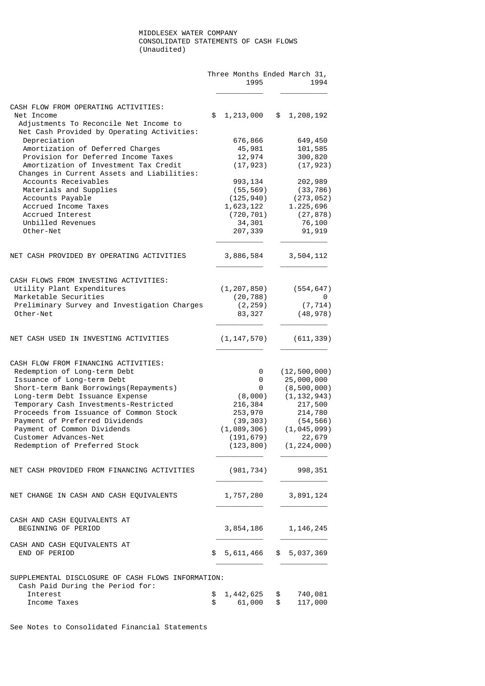### MIDDLESEX WATER COMPANY CONSOLIDATED STATEMENTS OF CASH FLOWS (Unaudited)

|                                                                                                                    |          | 1995                    |          | Three Months Ended March 31,<br>1994 |
|--------------------------------------------------------------------------------------------------------------------|----------|-------------------------|----------|--------------------------------------|
| CASH FLOW FROM OPERATING ACTIVITIES:                                                                               |          |                         |          |                                      |
| Net Income<br>Adjustments To Reconcile Net Income to<br>Net Cash Provided by Operating Activities:                 | \$       | 1,213,000               |          | \$1,208,192                          |
| Depreciation                                                                                                       |          | 676,866                 |          | 649,450                              |
| Amortization of Deferred Charges                                                                                   |          | 45,981                  |          | 101,585                              |
| Provision for Deferred Income Taxes                                                                                |          | 12,974                  |          | 300,820                              |
| Amortization of Investment Tax Credit<br>Changes in Current Assets and Liabilities:                                |          | (17, 923)               |          | (17, 923)                            |
| Accounts Receivables                                                                                               |          | 993, 134                |          | 202,989                              |
| Materials and Supplies<br>Accounts Payable                                                                         |          | (55, 569)<br>(125, 940) |          | (33, 786)                            |
| Accrued Income Taxes                                                                                               |          | 1,623,122               |          | (273, 052)<br>1.225,696              |
| Accrued Interest                                                                                                   |          | (720, 701)              |          | (27, 878)                            |
| Unbilled Revenues                                                                                                  |          | 34,301                  |          | 76,100                               |
| Other-Net                                                                                                          |          | 207,339                 |          | 91, 919                              |
| NET CASH PROVIDED BY OPERATING ACTIVITIES                                                                          |          | 3,886,584               |          | 3,504,112                            |
| CASH FLOWS FROM INVESTING ACTIVITIES:                                                                              |          |                         |          |                                      |
| Utility Plant Expenditures                                                                                         |          | (1, 207, 850)           |          | (554, 647)                           |
| Marketable Securities                                                                                              |          | (20, 788)               |          | 0                                    |
| Preliminary Survey and Investigation Charges<br>Other-Net                                                          |          | (2, 259)<br>83, 327     |          | (7, 714)<br>(48, 978)                |
| NET CASH USED IN INVESTING ACTIVITIES                                                                              |          | (1, 147, 570)           |          | (611, 339)                           |
| CASH FLOW FROM FINANCING ACTIVITIES:<br>Redemption of Long-term Debt                                               |          | 0                       |          | (12, 500, 000)                       |
| Issuance of Long-term Debt                                                                                         |          | 0                       |          | 25,000,000                           |
| Short-term Bank Borrowings(Repayments)                                                                             |          | 0                       |          | (8, 500, 000)                        |
| Long-term Debt Issuance Expense                                                                                    |          | (8,000)                 |          | (1, 132, 943)                        |
| Temporary Cash Investments-Restricted<br>Proceeds from Issuance of Common Stock                                    |          | 216,384<br>253,970      |          | 217,500<br>214,780                   |
| Payment of Preferred Dividends                                                                                     |          | (39, 303)               |          | (54, 566)                            |
| Payment of Common Dividends                                                                                        |          | (1,089,306)             |          | (1, 045, 099)                        |
| Customer Advances-Net                                                                                              |          | (191, 679)              |          | 22,679                               |
| Redemption of Preferred Stock                                                                                      |          |                         |          | $(123, 800)$ $(1, 224, 000)$         |
| NET CASH PROVIDED FROM FINANCING ACTIVITIES                                                                        |          | (981, 734)              |          | 998,351                              |
| NET CHANGE IN CASH AND CASH EQUIVALENTS                                                                            |          | 1,757,280               |          | 3,891,124                            |
| CASH AND CASH EQUIVALENTS AT<br>BEGINNING OF PERIOD                                                                |          | 3,854,186               |          | 1, 146, 245                          |
| CASH AND CASH EQUIVALENTS AT<br>END OF PERIOD                                                                      | \$       | 5,611,466               |          | \$5,037,369                          |
| SUPPLEMENTAL DISCLOSURE OF CASH FLOWS INFORMATION:<br>Cash Paid During the Period for:<br>Interest<br>Income Taxes | \$<br>\$ | 1,442,625<br>61,000     | \$<br>\$ | 740,081<br>117,000                   |
|                                                                                                                    |          |                         |          |                                      |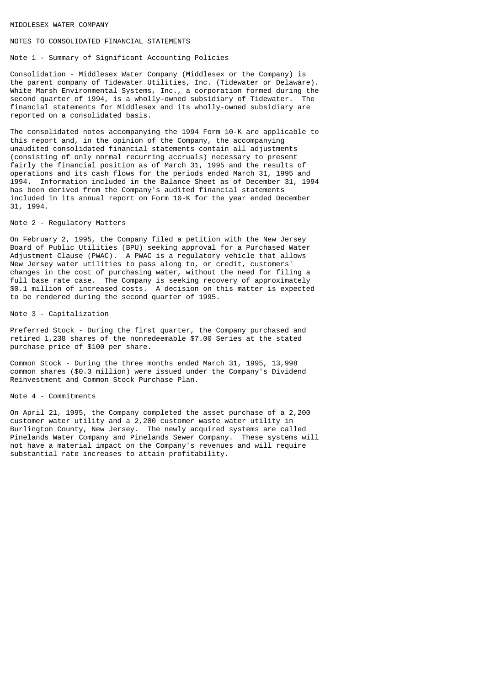#### MIDDLESEX WATER COMPANY

#### NOTES TO CONSOLIDATED FINANCIAL STATEMENTS

#### Note 1 - Summary of Significant Accounting Policies

Consolidation - Middlesex Water Company (Middlesex or the Company) is the parent company of Tidewater Utilities, Inc. (Tidewater or Delaware). White Marsh Environmental Systems, Inc., a corporation formed during the second quarter of 1994, is a wholly-owned subsidiary of Tidewater. The financial statements for Middlesex and its wholly-owned subsidiary are reported on a consolidated basis.

The consolidated notes accompanying the 1994 Form 10-K are applicable to this report and, in the opinion of the Company, the accompanying unaudited consolidated financial statements contain all adjustments (consisting of only normal recurring accruals) necessary to present fairly the financial position as of March 31, 1995 and the results of operations and its cash flows for the periods ended March 31, 1995 and 1994. Information included in the Balance Sheet as of December 31, 1994 has been derived from the Company's audited financial statements included in its annual report on Form 10-K for the year ended December 31, 1994.

### Note 2 - Regulatory Matters

On February 2, 1995, the Company filed a petition with the New Jersey Board of Public Utilities (BPU) seeking approval for a Purchased Water Adjustment Clause (PWAC). A PWAC is a regulatory vehicle that allows New Jersey water utilities to pass along to, or credit, customers' changes in the cost of purchasing water, without the need for filing a full base rate case. The Company is seeking recovery of approximately \$0.1 million of increased costs. A decision on this matter is expected to be rendered during the second quarter of 1995.

#### Note 3 - Capitalization

Preferred Stock - During the first quarter, the Company purchased and retired 1,238 shares of the nonredeemable \$7.00 Series at the stated purchase price of \$100 per share.

Common Stock - During the three months ended March 31, 1995, 13,998 common shares (\$0.3 million) were issued under the Company's Dividend Reinvestment and Common Stock Purchase Plan.

#### Note 4 - Commitments

On April 21, 1995, the Company completed the asset purchase of a 2,200 customer water utility and a 2,200 customer waste water utility in Burlington County, New Jersey. The newly acquired systems are called Pinelands Water Company and Pinelands Sewer Company. These systems will not have a material impact on the Company's revenues and will require substantial rate increases to attain profitability.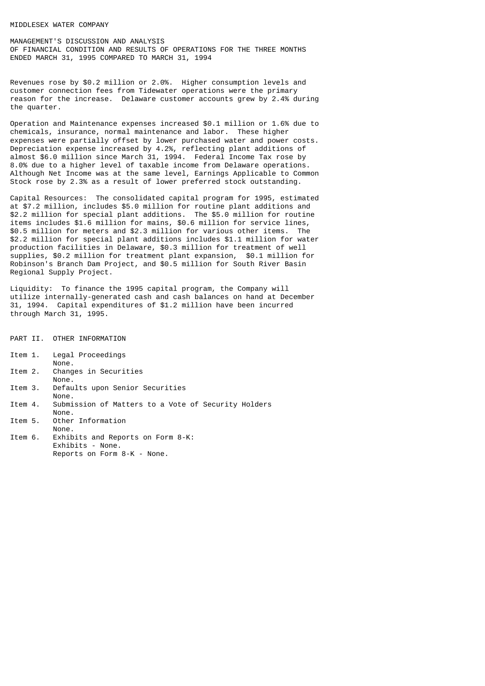#### MIDDLESEX WATER COMPANY

MANAGEMENT'S DISCUSSION AND ANALYSIS OF FINANCIAL CONDITION AND RESULTS OF OPERATIONS FOR THE THREE MONTHS ENDED MARCH 31, 1995 COMPARED TO MARCH 31, 1994

Revenues rose by \$0.2 million or 2.0%. Higher consumption levels and customer connection fees from Tidewater operations were the primary reason for the increase. Delaware customer accounts grew by 2.4% during the quarter.

Operation and Maintenance expenses increased \$0.1 million or 1.6% due to chemicals, insurance, normal maintenance and labor. These higher expenses were partially offset by lower purchased water and power costs. Depreciation expense increased by 4.2%, reflecting plant additions of almost \$6.0 million since March 31, 1994. Federal Income Tax rose by 8.0% due to a higher level of taxable income from Delaware operations. Although Net Income was at the same level, Earnings Applicable to Common Stock rose by 2.3% as a result of lower preferred stock outstanding.

Capital Resources: The consolidated capital program for 1995, estimated at \$7.2 million, includes \$5.0 million for routine plant additions and \$2.2 million for special plant additions. The \$5.0 million for routine items includes \$1.6 million for mains, \$0.6 million for service lines, \$0.5 million for meters and \$2.3 million for various other items. The \$2.2 million for special plant additions includes \$1.1 million for water production facilities in Delaware, \$0.3 million for treatment of well supplies, \$0.2 million for treatment plant expansion, \$0.1 million for Robinson's Branch Dam Project, and \$0.5 million for South River Basin Regional Supply Project.

Liquidity: To finance the 1995 capital program, the Company will utilize internally-generated cash and cash balances on hand at December 31, 1994. Capital expenditures of \$1.2 million have been incurred through March 31, 1995.

- PART II. OTHER INFORMATION
- Item 1. Legal Proceedings
- None.<br>Them 2. Chang Changes in Securities
- None.
- Item 3. Defaults upon Senior Securities None.<br>Item 4. Submi
- Submission of Matters to a Vote of Security Holders None.
- Item 5. Other Information
- None.<br>Item 6. Exhib
- Exhibits and Reports on Form 8-K: Exhibits - None. Reports on Form 8-K - None.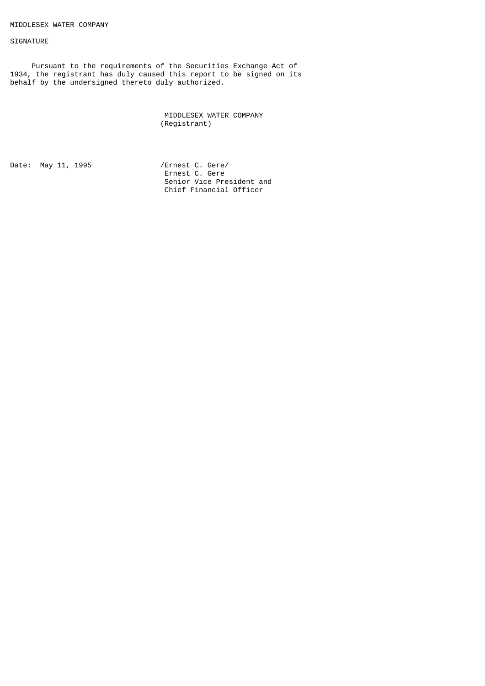#### SIGNATURE

 Pursuant to the requirements of the Securities Exchange Act of 1934, the registrant has duly caused this report to be signed on its behalf by the undersigned thereto duly authorized.

> MIDDLESEX WATER COMPANY (Registrant)

Date: May 11, 1995 /Ernest C. Gere/

 Ernest C. Gere Senior Vice President and Chief Financial Officer